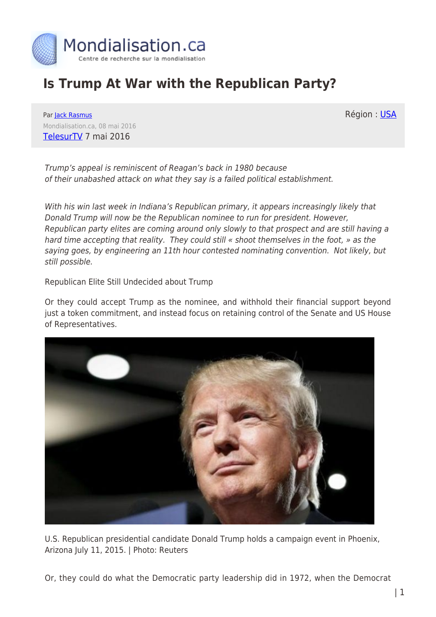

## **Is Trump At War with the Republican Party?**

Région : [USA](https://www.mondialisation.ca/region/usa)

Par [Jack Rasmus](https://www.mondialisation.ca/author/jack-rasmus) Mondialisation.ca, 08 mai 2016 [TelesurTV](http://www.telesurtv.net/english/opinion/Is-Donald-Trump-at-War-with-the-Republican-Party-20160507-0025.html) 7 mai 2016

Trump's appeal is reminiscent of Reagan's back in 1980 because of their unabashed attack on what they say is a failed political establishment.

With his win last week in Indiana's Republican primary, it appears increasingly likely that Donald Trump will now be the Republican nominee to run for president. However, Republican party elites are coming around only slowly to that prospect and are still having a hard time accepting that reality. They could still « shoot themselves in the foot, » as the saying goes, by engineering an 11th hour contested nominating convention. Not likely, but still possible.

Republican Elite Still Undecided about Trump

Or they could accept Trump as the nominee, and withhold their financial support beyond just a token commitment, and instead focus on retaining control of the Senate and US House of Representatives.



U.S. Republican presidential candidate Donald Trump holds a campaign event in Phoenix, Arizona July 11, 2015. | Photo: Reuters

Or, they could do what the Democratic party leadership did in 1972, when the Democrat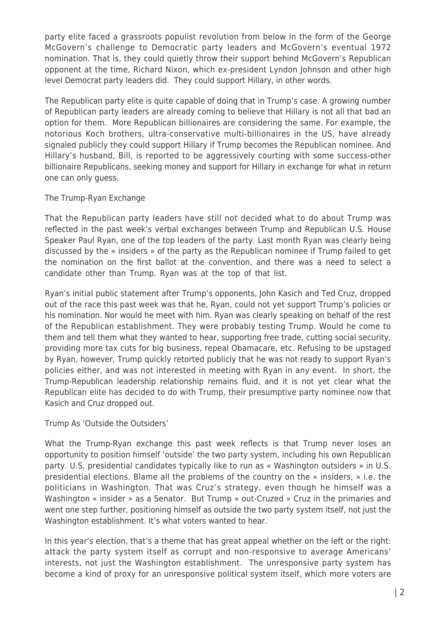party elite faced a grassroots populist revolution from below in the form of the George McGovern's challenge to Democratic party leaders and McGovern's eventual 1972 nomination. That is, they could quietly throw their support behind McGovern's Republican opponent at the time, Richard Nixon, which ex-president Lyndon Johnson and other high level Democrat party leaders did. They could support Hillary, in other words.

The Republican party elite is quite capable of doing that in Trump's case. A growing number of Republican party leaders are already coming to believe that Hillary is not all that bad an option for them. More Republican billionaires are considering the same. For example, the notorious Koch brothers, ultra-conservative multi-billionaires in the US, have already signaled publicly they could support Hillary if Trump becomes the Republican nominee. And Hillary's husband, Bill, is reported to be aggressively courting with some success-other billionaire Republicans, seeking money and support for Hillary in exchange for what in return one can only guess.

## The Trump-Ryan Exchange

That the Republican party leaders have still not decided what to do about Trump was reflected in the past week's verbal exchanges between Trump and Republican U.S. House Speaker Paul Ryan, one of the top leaders of the party. Last month Ryan was clearly being discussed by the « insiders » of the party as the Republican nominee if Trump failed to get the nomination on the first ballot at the convention, and there was a need to select a candidate other than Trump. Ryan was at the top of that list.

Ryan's initial public statement after Trump's opponents, John Kasich and Ted Cruz, dropped out of the race this past week was that he, Ryan, could not yet support Trump's policies or his nomination. Nor would he meet with him. Ryan was clearly speaking on behalf of the rest of the Republican establishment. They were probably testing Trump. Would he come to them and tell them what they wanted to hear, supporting free trade, cutting social security, providing more tax cuts for big business, repeal Obamacare, etc. Refusing to be upstaged by Ryan, however, Trump quickly retorted publicly that he was not ready to support Ryan's policies either, and was not interested in meeting with Ryan in any event. In short, the Trump-Republican leadership relationship remains fluid, and it is not yet clear what the Republican elite has decided to do with Trump, their presumptive party nominee now that Kasich and Cruz dropped out.

Trump As 'Outside the Outsiders'

What the Trump-Ryan exchange this past week reflects is that Trump never loses an opportunity to position himself 'outside' the two party system, including his own Republican party. U.S. presidential candidates typically like to run as « Washington outsiders » in U.S. presidential elections. Blame all the problems of the country on the « insiders, » i.e. the politicians in Washington. That was Cruz's strategy, even though he himself was a Washington « insider » as a Senator. But Trump « out-Cruzed » Cruz in the primaries and went one step further, positioning himself as outside the two party system itself, not just the Washington establishment. It's what voters wanted to hear.

In this year's election, that's a theme that has great appeal whether on the left or the right: attack the party system itself as corrupt and non-responsive to average Americans' interests, not just the Washington establishment. The unresponsive party system has become a kind of proxy for an unresponsive political system itself, which more voters are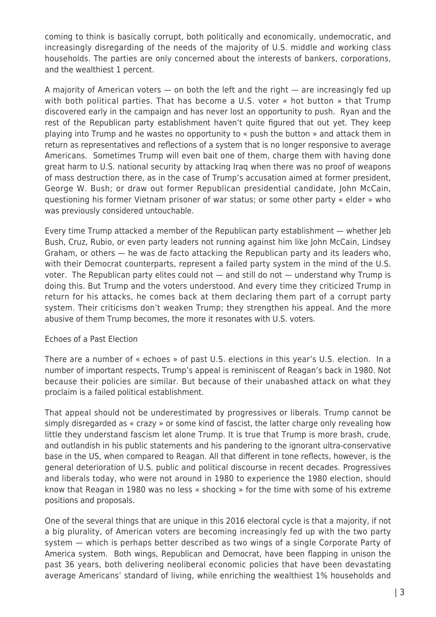coming to think is basically corrupt, both politically and economically, undemocratic, and increasingly disregarding of the needs of the majority of U.S. middle and working class households. The parties are only concerned about the interests of bankers, corporations, and the wealthiest 1 percent.

A majority of American voters — on both the left and the right — are increasingly fed up with both political parties. That has become a U.S. voter « hot button » that Trump discovered early in the campaign and has never lost an opportunity to push. Ryan and the rest of the Republican party establishment haven't quite figured that out yet. They keep playing into Trump and he wastes no opportunity to « push the button » and attack them in return as representatives and reflections of a system that is no longer responsive to average Americans. Sometimes Trump will even bait one of them, charge them with having done great harm to U.S. national security by attacking Iraq when there was no proof of weapons of mass destruction there, as in the case of Trump's accusation aimed at former president, George W. Bush; or draw out former Republican presidential candidate, John McCain, questioning his former Vietnam prisoner of war status; or some other party « elder » who was previously considered untouchable.

Every time Trump attacked a member of the Republican party establishment — whether Jeb Bush, Cruz, Rubio, or even party leaders not running against him like John McCain, Lindsey Graham, or others — he was de facto attacking the Republican party and its leaders who, with their Democrat counterparts, represent a failed party system in the mind of the U.S. voter. The Republican party elites could not — and still do not — understand why Trump is doing this. But Trump and the voters understood. And every time they criticized Trump in return for his attacks, he comes back at them declaring them part of a corrupt party system. Their criticisms don't weaken Trump; they strengthen his appeal. And the more abusive of them Trump becomes, the more it resonates with U.S. voters.

## Echoes of a Past Election

There are a number of « echoes » of past U.S. elections in this year's U.S. election. In a number of important respects, Trump's appeal is reminiscent of Reagan's back in 1980. Not because their policies are similar. But because of their unabashed attack on what they proclaim is a failed political establishment.

That appeal should not be underestimated by progressives or liberals. Trump cannot be simply disregarded as « crazy » or some kind of fascist, the latter charge only revealing how little they understand fascism let alone Trump. It is true that Trump is more brash, crude, and outlandish in his public statements and his pandering to the ignorant ultra-conservative base in the US, when compared to Reagan. All that different in tone reflects, however, is the general deterioration of U.S. public and political discourse in recent decades. Progressives and liberals today, who were not around in 1980 to experience the 1980 election, should know that Reagan in 1980 was no less « shocking » for the time with some of his extreme positions and proposals.

One of the several things that are unique in this 2016 electoral cycle is that a majority, if not a big plurality, of American voters are becoming increasingly fed up with the two party system — which is perhaps better described as two wings of a single Corporate Party of America system. Both wings, Republican and Democrat, have been flapping in unison the past 36 years, both delivering neoliberal economic policies that have been devastating average Americans' standard of living, while enriching the wealthiest 1% households and